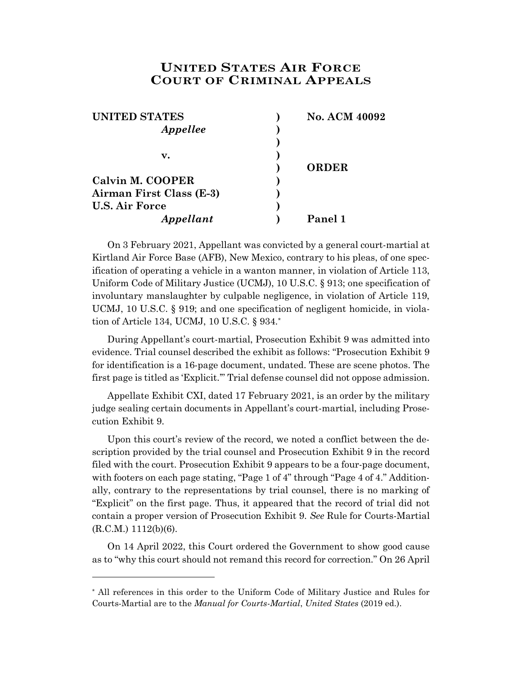## **UNITED STATES AIR FORCE COURT OF CRIMINAL APPEALS**

| <b>UNITED STATES</b>     | <b>No. ACM 40092</b> |
|--------------------------|----------------------|
| Appellee                 |                      |
|                          |                      |
| v.                       |                      |
|                          | <b>ORDER</b>         |
| Calvin M. COOPER         |                      |
| Airman First Class (E-3) |                      |
| <b>U.S. Air Force</b>    |                      |
| Appellant                | Panel 1              |

On 3 February 2021, Appellant was convicted by a general court-martial at Kirtland Air Force Base (AFB), New Mexico, contrary to his pleas, of one specification of operating a vehicle in a wanton manner, in violation of Article 113, Uniform Code of Military Justice (UCMJ), 10 U.S.C. § 913; one specification of involuntary manslaughter by culpable negligence, in violation of Article 119, UCMJ, 10 U.S.C. § 919; and one specification of negligent homicide, in violation of Article 134, UCMJ, 10 U.S.C. § 934.\*

During Appellant's court-martial, Prosecution Exhibit 9 was admitted into evidence. Trial counsel described the exhibit as follows: "Prosecution Exhibit 9 for identification is a 16-page document, undated. These are scene photos. The first page is titled as 'Explicit.'" Trial defense counsel did not oppose admission.

Appellate Exhibit CXI, dated 17 February 2021, is an order by the military judge sealing certain documents in Appellant's court-martial, including Prosecution Exhibit 9.

Upon this court's review of the record, we noted a conflict between the description provided by the trial counsel and Prosecution Exhibit 9 in the record filed with the court. Prosecution Exhibit 9 appears to be a four-page document, with footers on each page stating, "Page 1 of 4" through "Page 4 of 4." Additionally, contrary to the representations by trial counsel, there is no marking of "Explicit" on the first page. Thus, it appeared that the record of trial did not contain a proper version of Prosecution Exhibit 9. *See* Rule for Courts-Martial  $(R.C.M.) 1112(b)(6).$ 

On 14 April 2022, this Court ordered the Government to show good cause as to "why this court should not remand this record for correction." On 26 April

l

<sup>\*</sup> All references in this order to the Uniform Code of Military Justice and Rules for Courts-Martial are to the *Manual for Courts-Martial*, *United States* (2019 ed.).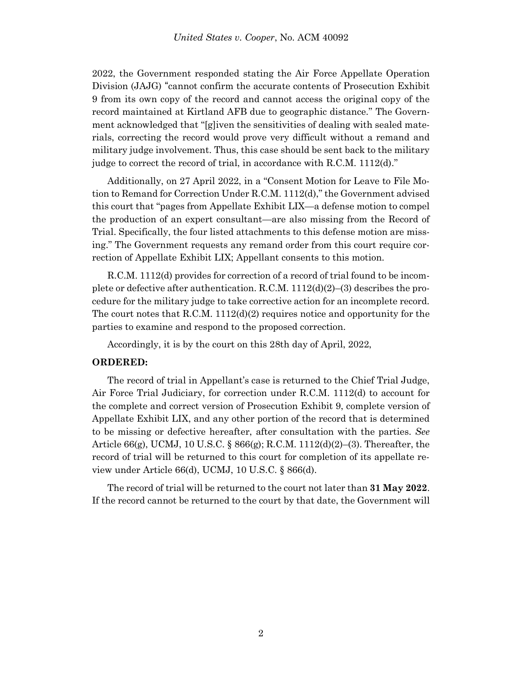2022, the Government responded stating the Air Force Appellate Operation Division (JAJG) "cannot confirm the accurate contents of Prosecution Exhibit 9 from its own copy of the record and cannot access the original copy of the record maintained at Kirtland AFB due to geographic distance." The Government acknowledged that "[g]iven the sensitivities of dealing with sealed materials, correcting the record would prove very difficult without a remand and military judge involvement. Thus, this case should be sent back to the military judge to correct the record of trial, in accordance with R.C.M. 1112(d)."

Additionally, on 27 April 2022, in a "Consent Motion for Leave to File Motion to Remand for Correction Under R.C.M. 1112(d)," the Government advised this court that "pages from Appellate Exhibit LIX—a defense motion to compel the production of an expert consultant—are also missing from the Record of Trial. Specifically, the four listed attachments to this defense motion are missing." The Government requests any remand order from this court require correction of Appellate Exhibit LIX; Appellant consents to this motion.

R.C.M. 1112(d) provides for correction of a record of trial found to be incomplete or defective after authentication. R.C.M.  $1112(d)(2)$ –(3) describes the procedure for the military judge to take corrective action for an incomplete record. The court notes that R.C.M.  $1112(d)(2)$  requires notice and opportunity for the parties to examine and respond to the proposed correction.

Accordingly, it is by the court on this 28th day of April, 2022,

## **ORDERED:**

The record of trial in Appellant's case is returned to the Chief Trial Judge, Air Force Trial Judiciary, for correction under R.C.M. 1112(d) to account for the complete and correct version of Prosecution Exhibit 9, complete version of Appellate Exhibit LIX, and any other portion of the record that is determined to be missing or defective hereafter, after consultation with the parties. *See* Article  $66(g)$ , UCMJ, 10 U.S.C. §  $866(g)$ ; R.C.M. 1112(d)(2)–(3). Thereafter, the record of trial will be returned to this court for completion of its appellate review under Article 66(d), UCMJ, 10 U.S.C. § 866(d).

The record of trial will be returned to the court not later than **31 May 2022**. If the record cannot be returned to the court by that date, the Government will